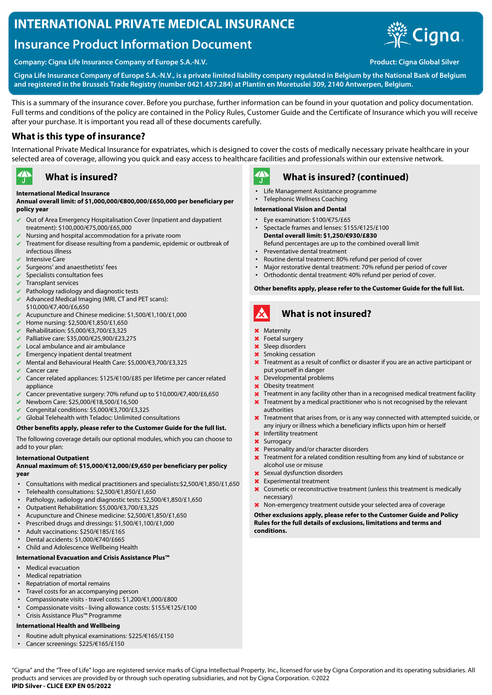# **INTERNATIONAL PRIVATE MEDICAL INSURANCE**

# **Insurance Product Information Document**



**Company: Cigna Life Insurance Company of Europe S.A.-N.V. Product: Cigna Global Silver**

**Cigna Life Insurance Company of Europe S.A.-N.V., is a private limited liability company regulated in Belgium by the National Bank of Belgium and registered in the Brussels Trade Registry (number 0421.437.284) at Plantin en Moretuslei 309, 2140 Antwerpen, Belgium.**

This is a summary of the insurance cover. Before you purchase, further information can be found in your quotation and policy documentation. Full terms and conditions of the policy are contained in the Policy Rules, Customer Guide and the Certificate of Insurance which you will receive after your purchase. It is important you read all of these documents carefully.

## **What is this type of insurance?**

International Private Medical Insurance for expatriates, which is designed to cover the costs of medically necessary private healthcare in your selected area of coverage, allowing you quick and easy access to healthcare facilities and professionals within our extensive network.

#### $\rightarrow$ **What is insured?**

### **International Medical Insurance**

#### **Annual overall limit: of \$1,000,000/€800,000/£650,000 per beneficiary per policy year**

- Out of Area Emergency Hospitalisation Cover (inpatient and daypatient treatment): \$100,000/€75,000/£65,000
- $\blacktriangleright$  Nursing and hospital accommodation for a private room
- ✔ Treatment for disease resulting from a pandemic, epidemic or outbreak of infectious illness
- Intensive Care
- Surgeons' and anaesthetists' fees
- $\vee$  Specialists consultation fees
- Transplant services
- Pathology radiology and diagnostic tests
- $\blacktriangleright$  Advanced Medical Imaging (MRI, CT and PET scans):
- \$10,000/€7,400/£6,650 ✔ Acupuncture and Chinese medicine: \$1,500/€1,100/£1,000
- ✔ Home nursing: \$2,500/€1,850/£1,650
- ✔ Rehabilitation: \$5,000/€3,700/£3,325
- ✔ Palliative care: \$35,000/€25,900/£23,275
- Local ambulance and air ambulance
- $\sqrt{\phantom{a}}$  Emergency inpatient dental treatment
- ✔ Mental and Behavioural Health Care: \$5,000/€3,700/£3,325
- Cancer care
- ✔ Cancer related appliances: \$125/€100/£85 per lifetime per cancer related appliance
- Cancer preventative surgery: 70% refund up to \$10,000/€7,400/£6,650
- ✔ Newborn Care: \$25,000/€18,500/£16,500
- ✔ Congenital conditions: \$5,000/€3,700/£3,325
- $\vee$  Global Telehealth with Teladoc: Unlimited consultations

#### **Other benefits apply, please refer to the Customer Guide for the full list.**

The following coverage details our optional modules, which you can choose to add to your plan:

#### **International Outpatient**

#### **Annual maximum of: \$15,000/€12,000/£9,650 per beneficiary per policy year**

- Consultations with medical practitioners and specialists:\$2,500/€1,850/£1,650
- Telehealth consultations: \$2,500/€1,850/£1,650
- Pathology, radiology and diagnostic tests: \$2,500/€1,850/£1,650
- Outpatient Rehabilitation: \$5,000/€3,700/£3,325
- Acupuncture and Chinese medicine: \$2,500/€1,850/£1,650
- Prescribed drugs and dressings: \$1,500/€1,100/£1,000
- Adult vaccinations: \$250/€185/£165
- Dental accidents: \$1,000/€740/£665
- Child and Adolescence Wellbeing Health

#### **International Evacuation and Crisis Assistance Plus™**

- Medical evacuation
- Medical repatriation
- Repatriation of mortal remains
- Travel costs for an accompanying person
- Compassionate visits travel costs: \$1,200/€1,000/£800
- Compassionate visits living allowance costs: \$155/€125/£100
- Crisis Assistance Plus™ Programme

#### **International Health and Wellbeing**

- Routine adult physical examinations: \$225/€165/£150
- Cancer screenings: \$225/€165/£150

#### $\mathbf{A}$ **What is insured? (continued)**

- Life Management Assistance programme
- Telephonic Wellness Coaching

#### **International Vision and Dental**

- Eye examination: \$100/€75/£65
- Spectacle frames and lenses: \$155/€125/£100 **Dental overall limit: \$1,250/€930/£830** Refund percentages are up to the combined overall limit
- Preventative dental treatment
- Routine dental treatment: 80% refund per period of cover
- Major restorative dental treatment: 70% refund per period of cover<br>• Orthodontic dental treatment: 40% refund per period of cover
- Orthodontic dental treatment: 40% refund per period of cover.

#### **Other benefits apply, please refer to the Customer Guide for the full list.**

## **What is not insured?**

- ✖ Maternity
- ✖ Foetal surgery
- ✖ Sleep disorders
- ✖ Smoking cessation
- **X** Treatment as a result of conflict or disaster if you are an active participant or put yourself in danger
- ✖ Developmental problems
- ✖ Obesity treatment
- $\times$  Treatment in any facility other than in a recognised medical treatment facility
- Treatment by a medical practitioner who is not recognised by the relevant authorities
- ✖ Treatment that arises from, or is any way connected with attempted suicide, or any injury or illness which a beneficiary inflicts upon him or herself
- ✖ Infertility treatment
- ✖ Surrogacy
- ✖ Personality and/or character disorders
- ✖ Treatment for a related condition resulting from any kind of substance or alcohol use or misuse
- ✖ Sexual dysfunction disorders
- Experimental treatment
- ✖ Cosmetic or reconstructive treatment (unless this treatment is medically necessary)
- ✖ Non-emergency treatment outside your selected area of coverage

#### **Other exclusions apply, please refer to the Customer Guide and Policy Rules for the full details of exclusions, limitations and terms and conditions.**

"Cigna" and the "Tree of Life" logo are registered service marks of Cigna Intellectual Property, Inc., licensed for use by Cigna Corporation and its operating subsidiaries. All products and services are provided by or through such operating subsidiaries, and not by Cigna Corporation. ©2022 **IPID Silver - CLICE EXP EN 05/2022**